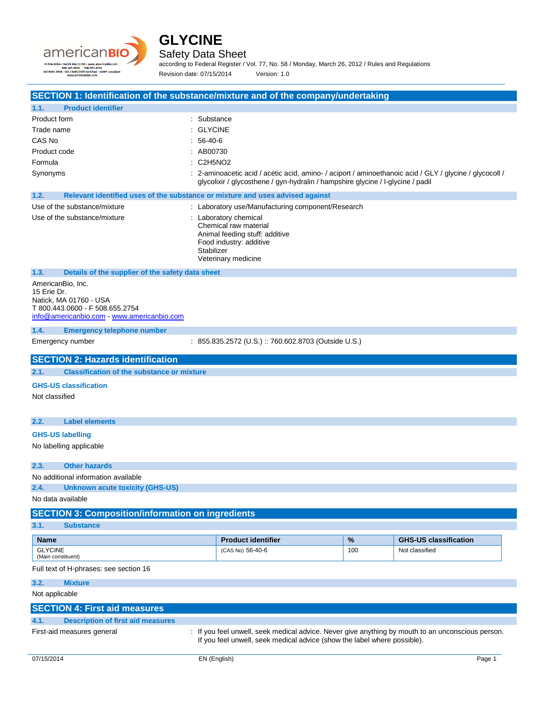



## Safety Data Sheet

according to Federal Register / Vol. 77, No. 58 / Monday, March 26, 2012 / Rules and Regulations Revision date: 07/15/2014 Version: 1.0

# **SECTION 1: Identification of the substance/mixture and of the company/undertaking**

| <b>Product identifier</b><br>1.1.                                                                                                         |                                                                                                                                                                                            |     |                              |
|-------------------------------------------------------------------------------------------------------------------------------------------|--------------------------------------------------------------------------------------------------------------------------------------------------------------------------------------------|-----|------------------------------|
| Product form                                                                                                                              | : Substance                                                                                                                                                                                |     |                              |
| Trade name                                                                                                                                | <b>GLYCINE</b>                                                                                                                                                                             |     |                              |
| CAS No                                                                                                                                    | 56-40-6                                                                                                                                                                                    |     |                              |
| Product code                                                                                                                              | : AB00730                                                                                                                                                                                  |     |                              |
| Formula                                                                                                                                   | : C2H5NO2                                                                                                                                                                                  |     |                              |
| Synonyms                                                                                                                                  | : 2-aminoacetic acid / acetic acid, amino- / aciport / aminoethanoic acid / GLY / glycine / glycocoll /<br>glycolixir / glycosthene / gyn-hydralin / hampshire glycine / l-glycine / padil |     |                              |
| 1.2.                                                                                                                                      | Relevant identified uses of the substance or mixture and uses advised against                                                                                                              |     |                              |
| Use of the substance/mixture                                                                                                              | : Laboratory use/Manufacturing component/Research                                                                                                                                          |     |                              |
| Use of the substance/mixture                                                                                                              | : Laboratory chemical<br>Chemical raw material<br>Animal feeding stuff: additive<br>Food industry: additive<br>Stabilizer<br>Veterinary medicine                                           |     |                              |
| 1.3.<br>Details of the supplier of the safety data sheet                                                                                  |                                                                                                                                                                                            |     |                              |
| AmericanBio, Inc.<br>15 Erie Dr.<br>Natick, MA 01760 - USA<br>T 800.443.0600 - F 508.655.2754<br>info@americanbio.com www.americanbio.com |                                                                                                                                                                                            |     |                              |
| 1.4.<br><b>Emergency telephone number</b>                                                                                                 |                                                                                                                                                                                            |     |                              |
| Emergency number                                                                                                                          | : 855.835.2572 (U.S.) :: 760.602.8703 (Outside U.S.)                                                                                                                                       |     |                              |
| <b>SECTION 2: Hazards identification</b>                                                                                                  |                                                                                                                                                                                            |     |                              |
| <b>Classification of the substance or mixture</b><br>2.1.                                                                                 |                                                                                                                                                                                            |     |                              |
| <b>GHS-US classification</b><br>Not classified                                                                                            |                                                                                                                                                                                            |     |                              |
| 2.2.<br><b>Label elements</b>                                                                                                             |                                                                                                                                                                                            |     |                              |
| <b>GHS-US labelling</b>                                                                                                                   |                                                                                                                                                                                            |     |                              |
| No labelling applicable                                                                                                                   |                                                                                                                                                                                            |     |                              |
| <b>Other hazards</b><br>2.3.                                                                                                              |                                                                                                                                                                                            |     |                              |
| No additional information available                                                                                                       |                                                                                                                                                                                            |     |                              |
| 2.4.<br><b>Unknown acute toxicity (GHS-US)</b>                                                                                            |                                                                                                                                                                                            |     |                              |
| No data available                                                                                                                         |                                                                                                                                                                                            |     |                              |
| <b>SECTION 3: Composition/information on ingredients</b>                                                                                  |                                                                                                                                                                                            |     |                              |
| 3.1.<br><b>Substance</b>                                                                                                                  |                                                                                                                                                                                            |     |                              |
| <b>Name</b>                                                                                                                               | <b>Product identifier</b>                                                                                                                                                                  | %   | <b>GHS-US classification</b> |
| <b>GLYCINE</b><br>(Main constituent)                                                                                                      | (CAS No) 56-40-6                                                                                                                                                                           | 100 | Not classified               |
| Full text of H-phrases: see section 16                                                                                                    |                                                                                                                                                                                            |     |                              |
| 3.2.<br><b>Mixture</b>                                                                                                                    |                                                                                                                                                                                            |     |                              |
| Not applicable                                                                                                                            |                                                                                                                                                                                            |     |                              |
| <b>SECTION 4: First aid measures</b>                                                                                                      |                                                                                                                                                                                            |     |                              |
| <b>Description of first aid measures</b><br>4.1.                                                                                          |                                                                                                                                                                                            |     |                              |
| First-aid measures general                                                                                                                | : If you feel unwell, seek medical advice. Never give anything by mouth to an unconscious person.<br>If you feel unwell, seek medical advice (show the label where possible).              |     |                              |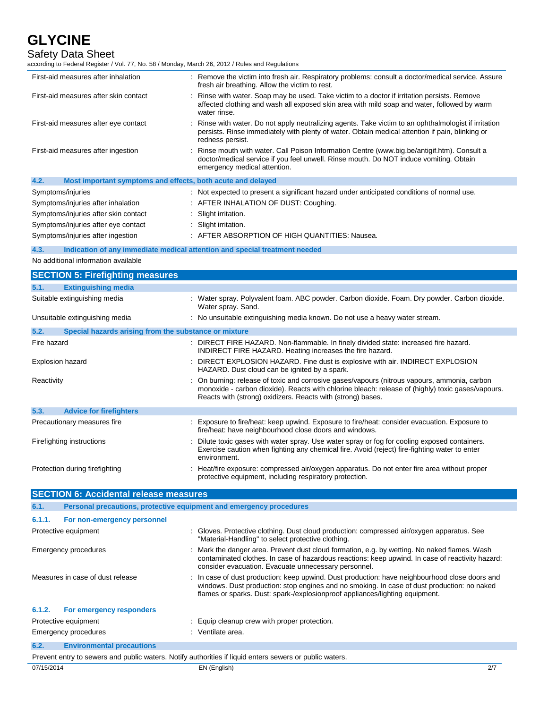| <b>Safety Data Sheet</b><br>according to Federal Register / Vol. 77, No. 58 / Monday, March 26, 2012 / Rules and Regulations |                                                                                                                                                                                                                                                                             |  |
|------------------------------------------------------------------------------------------------------------------------------|-----------------------------------------------------------------------------------------------------------------------------------------------------------------------------------------------------------------------------------------------------------------------------|--|
| First-aid measures after inhalation                                                                                          | : Remove the victim into fresh air. Respiratory problems: consult a doctor/medical service. Assure<br>fresh air breathing. Allow the victim to rest.                                                                                                                        |  |
| First-aid measures after skin contact                                                                                        | : Rinse with water. Soap may be used. Take victim to a doctor if irritation persists. Remove<br>affected clothing and wash all exposed skin area with mild soap and water, followed by warm<br>water rinse.                                                                 |  |
| First-aid measures after eye contact                                                                                         | : Rinse with water. Do not apply neutralizing agents. Take victim to an ophthalmologist if irritation<br>persists. Rinse immediately with plenty of water. Obtain medical attention if pain, blinking or<br>redness persist.                                                |  |
| First-aid measures after ingestion                                                                                           | Rinse mouth with water. Call Poison Information Centre (www.big.be/antigif.htm). Consult a<br>doctor/medical service if you feel unwell. Rinse mouth. Do NOT induce vomiting. Obtain<br>emergency medical attention.                                                        |  |
| 4.2.<br>Most important symptoms and effects, both acute and delayed                                                          |                                                                                                                                                                                                                                                                             |  |
| Symptoms/injuries                                                                                                            | : Not expected to present a significant hazard under anticipated conditions of normal use.                                                                                                                                                                                  |  |
| Symptoms/injuries after inhalation                                                                                           | : AFTER INHALATION OF DUST: Coughing.                                                                                                                                                                                                                                       |  |
| Symptoms/injuries after skin contact                                                                                         | Slight irritation.                                                                                                                                                                                                                                                          |  |
| Symptoms/injuries after eye contact                                                                                          | : Slight irritation.                                                                                                                                                                                                                                                        |  |
| Symptoms/injuries after ingestion                                                                                            | : AFTER ABSORPTION OF HIGH QUANTITIES: Nausea.                                                                                                                                                                                                                              |  |
| 4.3.                                                                                                                         | Indication of any immediate medical attention and special treatment needed                                                                                                                                                                                                  |  |
| No additional information available                                                                                          |                                                                                                                                                                                                                                                                             |  |
| <b>SECTION 5: Firefighting measures</b>                                                                                      |                                                                                                                                                                                                                                                                             |  |
| 5.1.<br><b>Extinguishing media</b>                                                                                           |                                                                                                                                                                                                                                                                             |  |
| Suitable extinguishing media                                                                                                 | : Water spray. Polyvalent foam. ABC powder. Carbon dioxide. Foam. Dry powder. Carbon dioxide.<br>Water spray. Sand.                                                                                                                                                         |  |
| Unsuitable extinguishing media                                                                                               | : No unsuitable extinguishing media known. Do not use a heavy water stream.                                                                                                                                                                                                 |  |
| 5.2.<br>Special hazards arising from the substance or mixture                                                                |                                                                                                                                                                                                                                                                             |  |
| Fire hazard                                                                                                                  | : DIRECT FIRE HAZARD. Non-flammable. In finely divided state: increased fire hazard.<br>INDIRECT FIRE HAZARD. Heating increases the fire hazard.                                                                                                                            |  |
| Explosion hazard                                                                                                             | DIRECT EXPLOSION HAZARD. Fine dust is explosive with air. INDIRECT EXPLOSION<br>HAZARD. Dust cloud can be ignited by a spark.                                                                                                                                               |  |
| Reactivity                                                                                                                   | : On burning: release of toxic and corrosive gases/vapours (nitrous vapours, ammonia, carbon<br>monoxide - carbon dioxide). Reacts with chlorine bleach: release of (highly) toxic gases/vapours.<br>Reacts with (strong) oxidizers. Reacts with (strong) bases.            |  |
| 5.3.<br><b>Advice for firefighters</b>                                                                                       |                                                                                                                                                                                                                                                                             |  |
| Precautionary measures fire                                                                                                  | : Exposure to fire/heat: keep upwind. Exposure to fire/heat: consider evacuation. Exposure to<br>fire/heat: have neighbourhood close doors and windows.                                                                                                                     |  |
| Firefighting instructions                                                                                                    | : Dilute toxic gases with water spray. Use water spray or fog for cooling exposed containers.<br>Exercise caution when fighting any chemical fire. Avoid (reject) fire-fighting water to enter<br>environment.                                                              |  |
| Protection during firefighting                                                                                               | : Heat/fire exposure: compressed air/oxygen apparatus. Do not enter fire area without proper<br>protective equipment, including respiratory protection.                                                                                                                     |  |
| <b>SECTION 6: Accidental release measures</b>                                                                                |                                                                                                                                                                                                                                                                             |  |
| 6.1.<br>Personal precautions, protective equipment and emergency procedures                                                  |                                                                                                                                                                                                                                                                             |  |
| 6.1.1.<br>For non-emergency personnel                                                                                        |                                                                                                                                                                                                                                                                             |  |
| Protective equipment                                                                                                         | : Gloves. Protective clothing. Dust cloud production: compressed air/oxygen apparatus. See<br>"Material-Handling" to select protective clothing.                                                                                                                            |  |
| <b>Emergency procedures</b>                                                                                                  | : Mark the danger area. Prevent dust cloud formation, e.g. by wetting. No naked flames. Wash<br>contaminated clothes. In case of hazardous reactions: keep upwind. In case of reactivity hazard:<br>consider evacuation. Evacuate unnecessary personnel.                    |  |
| Measures in case of dust release                                                                                             | In case of dust production: keep upwind. Dust production: have neighbourhood close doors and<br>windows. Dust production: stop engines and no smoking. In case of dust production: no naked<br>flames or sparks. Dust: spark-/explosionproof appliances/lighting equipment. |  |

|      | 6.1.2. For emergency responders  |                                              |
|------|----------------------------------|----------------------------------------------|
|      | Protective equipment             | : Equip cleanup crew with proper protection. |
|      | Emergency procedures             | : Ventilate area.                            |
| 6.2. | <b>Environmental precautions</b> |                                              |

Prevent entry to sewers and public waters. Notify authorities if liquid enters sewers or public waters.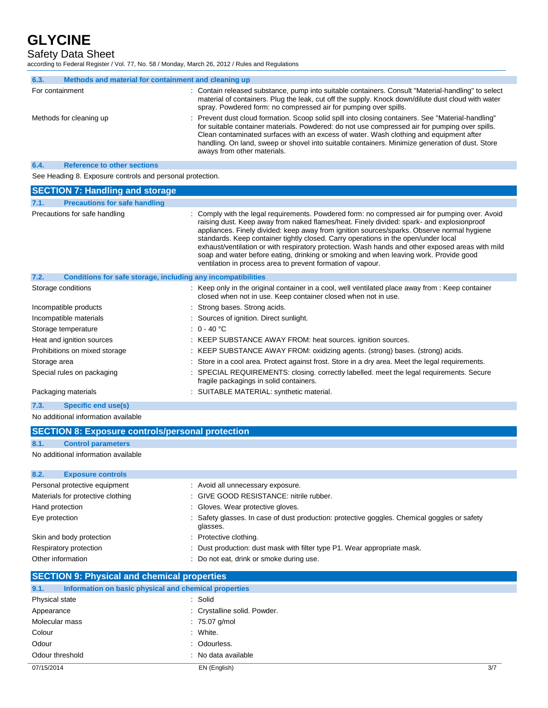Safety Data Sheet

according to Federal Register / Vol. 77, No. 58 / Monday, March 26, 2012 / Rules and Regulations

| 6.3.            | Methods and material for containment and cleaning up |                                                                                                                                                                                                                                                                                                                                                                                                                                  |
|-----------------|------------------------------------------------------|----------------------------------------------------------------------------------------------------------------------------------------------------------------------------------------------------------------------------------------------------------------------------------------------------------------------------------------------------------------------------------------------------------------------------------|
| For containment |                                                      | : Contain released substance, pump into suitable containers. Consult "Material-handling" to select<br>material of containers. Plug the leak, cut off the supply. Knock down/dilute dust cloud with water<br>spray. Powdered form: no compressed air for pumping over spills.                                                                                                                                                     |
|                 | Methods for cleaning up                              | : Prevent dust cloud formation. Scoop solid spill into closing containers. See "Material-handling"<br>for suitable container materials. Powdered: do not use compressed air for pumping over spills.<br>Clean contaminated surfaces with an excess of water. Wash clothing and equipment after<br>handling. On land, sweep or shovel into suitable containers. Minimize generation of dust. Store<br>aways from other materials. |
| 6.4.            | <b>Reference to other sections</b>                   |                                                                                                                                                                                                                                                                                                                                                                                                                                  |

See Heading 8. Exposure controls and personal protection.

| <b>SECTION 7: Handling and storage</b>                                      |                                                                                                                                                                                                                                                                                                                                                                                                                                                                                                                                                                                                                                             |
|-----------------------------------------------------------------------------|---------------------------------------------------------------------------------------------------------------------------------------------------------------------------------------------------------------------------------------------------------------------------------------------------------------------------------------------------------------------------------------------------------------------------------------------------------------------------------------------------------------------------------------------------------------------------------------------------------------------------------------------|
| <b>Precautions for safe handling</b><br>7.1.                                |                                                                                                                                                                                                                                                                                                                                                                                                                                                                                                                                                                                                                                             |
| Precautions for safe handling                                               | : Comply with the legal requirements. Powdered form: no compressed air for pumping over. Avoid<br>raising dust. Keep away from naked flames/heat. Finely divided: spark- and explosionproof<br>appliances. Finely divided: keep away from ignition sources/sparks. Observe normal hygiene<br>standards. Keep container tightly closed. Carry operations in the open/under local<br>exhaust/ventilation or with respiratory protection. Wash hands and other exposed areas with mild<br>soap and water before eating, drinking or smoking and when leaving work. Provide good<br>ventilation in process area to prevent formation of vapour. |
| 7.2.<br><b>Conditions for safe storage, including any incompatibilities</b> |                                                                                                                                                                                                                                                                                                                                                                                                                                                                                                                                                                                                                                             |
| Storage conditions                                                          | : Keep only in the original container in a cool, well ventilated place away from : Keep container<br>closed when not in use. Keep container closed when not in use.                                                                                                                                                                                                                                                                                                                                                                                                                                                                         |
| Incompatible products                                                       | : Strong bases. Strong acids.                                                                                                                                                                                                                                                                                                                                                                                                                                                                                                                                                                                                               |
| Incompatible materials                                                      | : Sources of ignition. Direct sunlight.                                                                                                                                                                                                                                                                                                                                                                                                                                                                                                                                                                                                     |
| Storage temperature                                                         | $: 0 - 40$ °C                                                                                                                                                                                                                                                                                                                                                                                                                                                                                                                                                                                                                               |
| Heat and ignition sources                                                   | : KEEP SUBSTANCE AWAY FROM: heat sources. ignition sources.                                                                                                                                                                                                                                                                                                                                                                                                                                                                                                                                                                                 |
| Prohibitions on mixed storage                                               | : KEEP SUBSTANCE AWAY FROM: oxidizing agents. (strong) bases. (strong) acids.                                                                                                                                                                                                                                                                                                                                                                                                                                                                                                                                                               |
| Storage area                                                                | : Store in a cool area. Protect against frost. Store in a dry area. Meet the legal requirements.                                                                                                                                                                                                                                                                                                                                                                                                                                                                                                                                            |
| Special rules on packaging                                                  | : SPECIAL REQUIREMENTS: closing. correctly labelled. meet the legal requirements. Secure<br>fragile packagings in solid containers.                                                                                                                                                                                                                                                                                                                                                                                                                                                                                                         |
| Packaging materials                                                         | : SUITABLE MATERIAL: synthetic material.                                                                                                                                                                                                                                                                                                                                                                                                                                                                                                                                                                                                    |

**7.3. Specific end use(s)**

No additional information available

| <b>SECTION 8: Exposure controls/personal protection</b> |                                     |                                                                                              |
|---------------------------------------------------------|-------------------------------------|----------------------------------------------------------------------------------------------|
| 8.1.                                                    | <b>Control parameters</b>           |                                                                                              |
|                                                         | No additional information available |                                                                                              |
|                                                         |                                     |                                                                                              |
| 8.2.                                                    | <b>Exposure controls</b>            |                                                                                              |
|                                                         | Personal protective equipment       | : Avoid all unnecessary exposure.                                                            |
|                                                         | Materials for protective clothing   | : GIVE GOOD RESISTANCE: nitrile rubber.                                                      |
| Hand protection                                         |                                     | : Gloves. Wear protective gloves.                                                            |
| Eye protection                                          |                                     | : Safety glasses. In case of dust production: protective goggles. Chemical goggles or safety |

glasses. Skin and body protection : Protective clothing. Respiratory protection : Dust production: dust mask with filter type P1. Wear appropriate mask. Other information : Do not eat, drink or smoke during use.

## 07/15/2014 EN (English) 3/7 **SECTION 9: Physical and chemical properties 9.1. Information on basic physical and chemical properties** Physical state : Solid Appearance : Crystalline solid. Powder. Molecular mass : 75.07 g/mol Colour : White. Odour : Odourless. Odour threshold in the state of the state of the state of the state of the state of the state of the state of the state of the state of the state of the state of the state of the state of the state of the state of the stat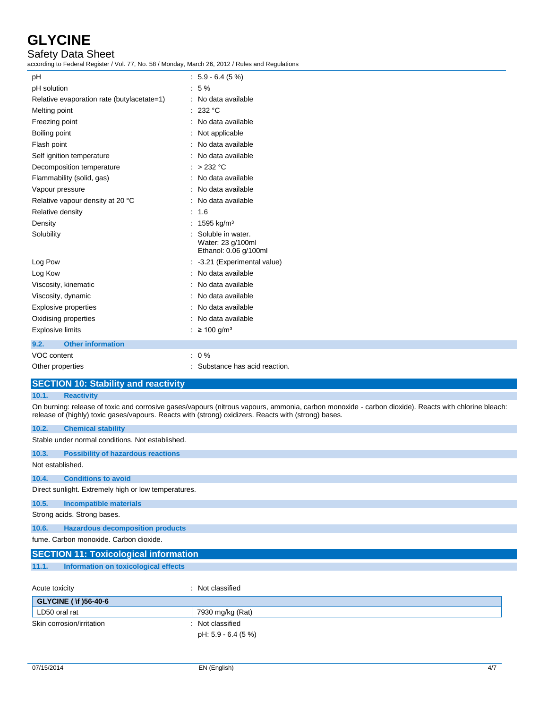# Safety Data Sheet

according to Federal Register / Vol. 77, No. 58 / Monday, March 26, 2012 / Rules and Regulations

| pH                                         | $: 5.9 - 6.4(5%)$                                               |
|--------------------------------------------|-----------------------------------------------------------------|
| pH solution                                | $:5\%$                                                          |
| Relative evaporation rate (butylacetate=1) | : No data available                                             |
| Melting point                              | : 232 °C                                                        |
| Freezing point                             | : No data available                                             |
| Boiling point                              | Not applicable                                                  |
| Flash point                                | : No data available                                             |
| Self ignition temperature                  | : No data available                                             |
| Decomposition temperature                  | : > 232 °C                                                      |
| Flammability (solid, gas)                  | : No data available                                             |
| Vapour pressure                            | : No data available                                             |
| Relative vapour density at 20 °C           | : No data available                                             |
| Relative density                           | : 1.6                                                           |
| Density                                    | : 1595 kg/m <sup>3</sup>                                        |
| Solubility                                 | Soluble in water.<br>Water: 23 g/100ml<br>Ethanol: 0.06 g/100ml |
| Log Pow                                    | : -3.21 (Experimental value)                                    |
| Log Kow                                    | : No data available                                             |
| Viscosity, kinematic                       | : No data available                                             |
| Viscosity, dynamic                         | : No data available                                             |
| <b>Explosive properties</b>                | : No data available                                             |
| Oxidising properties                       | : No data available                                             |
| <b>Explosive limits</b>                    | : ≥ 100 g/m <sup>3</sup>                                        |
| <b>Other information</b><br>9.2.           |                                                                 |
| VOC content                                | $: 0\%$                                                         |
| Other properties                           | : Substance has acid reaction.                                  |

## **SECTION 10: Stability and reactivity**

#### **10.1. Reactivity**

On burning: release of toxic and corrosive gases/vapours (nitrous vapours, ammonia, carbon monoxide - carbon dioxide). Reacts with chlorine bleach: release of (highly) toxic gases/vapours. Reacts with (strong) oxidizers. Reacts with (strong) bases.

| 10.2.            | <b>Chemical stability</b>                            |
|------------------|------------------------------------------------------|
|                  | Stable under normal conditions. Not established.     |
| 10.3.            | <b>Possibility of hazardous reactions</b>            |
| Not established. |                                                      |
| 10.4.            | <b>Conditions to avoid</b>                           |
|                  | Direct sunlight. Extremely high or low temperatures. |
| 10.5.            | <b>Incompatible materials</b>                        |
|                  | Strong acids. Strong bases.                          |
| 10.6.            | <b>Hazardous decomposition products</b>              |
|                  | fume. Carbon monoxide. Carbon dioxide.               |
|                  | <b>SECTION 11: Toxicological information</b>         |
| 11.1.            | Information on toxicological effects                 |

| Acute toxicity               | : Not classified    |
|------------------------------|---------------------|
| <b>GLYCINE ( \f )56-40-6</b> |                     |
| LD50 oral rat                | 7930 mg/kg (Rat)    |
| Skin corrosion/irritation    | : Not classified    |
|                              | pH: 5.9 - 6.4 (5 %) |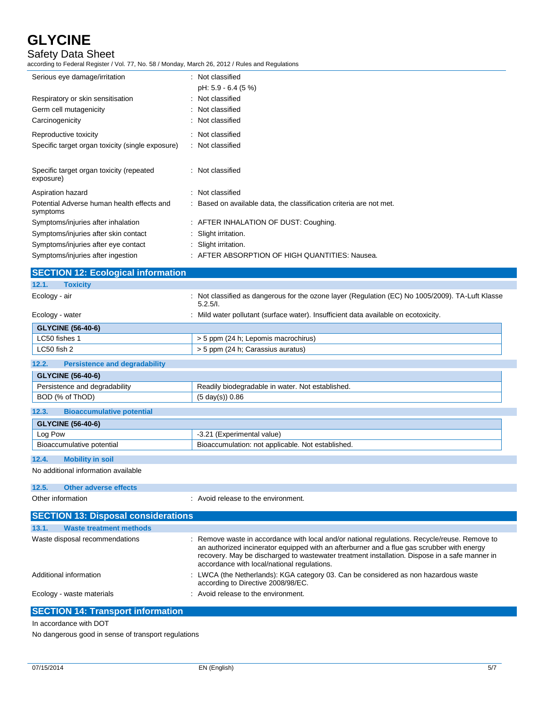# Safety Data Sheet

according to Federal Register / Vol. 77, No. 58 / Monday, March 26, 2012 / Rules and Regulations

| Serious eye damage/irritation                          | : Not classified                                                    |
|--------------------------------------------------------|---------------------------------------------------------------------|
|                                                        | pH: 5.9 - 6.4 (5 %)                                                 |
| Respiratory or skin sensitisation                      | : Not classified                                                    |
| Germ cell mutagenicity                                 | : Not classified                                                    |
| Carcinogenicity                                        | : Not classified                                                    |
| Reproductive toxicity                                  | : Not classified                                                    |
| Specific target organ toxicity (single exposure)       | : Not classified                                                    |
| Specific target organ toxicity (repeated<br>exposure)  | : Not classified                                                    |
| Aspiration hazard                                      | : Not classified                                                    |
| Potential Adverse human health effects and<br>symptoms | : Based on available data, the classification criteria are not met. |
| Symptoms/injuries after inhalation                     | : AFTER INHALATION OF DUST: Coughing.                               |
| Symptoms/injuries after skin contact                   | : Slight irritation.                                                |
| Symptoms/injuries after eye contact                    | : Slight irritation.                                                |
| Symptoms/injuries after ingestion                      | : AFTER ABSORPTION OF HIGH QUANTITIES: Nausea.                      |
|                                                        |                                                                     |

| <b>SECTION 12: Ecological information</b>     |                                                                                                                                                                                                                                                                                                                                             |
|-----------------------------------------------|---------------------------------------------------------------------------------------------------------------------------------------------------------------------------------------------------------------------------------------------------------------------------------------------------------------------------------------------|
| <b>Toxicity</b><br>12.1.                      |                                                                                                                                                                                                                                                                                                                                             |
| Ecology - air                                 | : Not classified as dangerous for the ozone layer (Regulation (EC) No 1005/2009). TA-Luft Klasse<br>5.2.5/l.                                                                                                                                                                                                                                |
| Ecology - water                               | : Mild water pollutant (surface water). Insufficient data available on ecotoxicity.                                                                                                                                                                                                                                                         |
| <b>GLYCINE (56-40-6)</b>                      |                                                                                                                                                                                                                                                                                                                                             |
| LC50 fishes 1                                 | > 5 ppm (24 h; Lepomis macrochirus)                                                                                                                                                                                                                                                                                                         |
| LC50 fish 2                                   | > 5 ppm (24 h; Carassius auratus)                                                                                                                                                                                                                                                                                                           |
| 12.2.<br><b>Persistence and degradability</b> |                                                                                                                                                                                                                                                                                                                                             |
| <b>GLYCINE (56-40-6)</b>                      |                                                                                                                                                                                                                                                                                                                                             |
| Persistence and degradability                 | Readily biodegradable in water. Not established.                                                                                                                                                                                                                                                                                            |
| BOD (% of ThOD)                               | $(5 \text{ day}(s)) 0.86$                                                                                                                                                                                                                                                                                                                   |
| 12.3.<br><b>Bioaccumulative potential</b>     |                                                                                                                                                                                                                                                                                                                                             |
| <b>GLYCINE (56-40-6)</b>                      |                                                                                                                                                                                                                                                                                                                                             |
| Log Pow                                       | -3.21 (Experimental value)                                                                                                                                                                                                                                                                                                                  |
| Bioaccumulative potential                     | Bioaccumulation: not applicable. Not established.                                                                                                                                                                                                                                                                                           |
| 12.4.<br><b>Mobility in soil</b>              |                                                                                                                                                                                                                                                                                                                                             |
| No additional information available           |                                                                                                                                                                                                                                                                                                                                             |
| 12.5.<br><b>Other adverse effects</b>         |                                                                                                                                                                                                                                                                                                                                             |
| Other information                             | : Avoid release to the environment.                                                                                                                                                                                                                                                                                                         |
| <b>SECTION 13: Disposal considerations</b>    |                                                                                                                                                                                                                                                                                                                                             |
| 13.1.<br><b>Waste treatment methods</b>       |                                                                                                                                                                                                                                                                                                                                             |
| Waste disposal recommendations                | : Remove waste in accordance with local and/or national regulations. Recycle/reuse. Remove to<br>an authorized incinerator equipped with an afterburner and a flue gas scrubber with energy<br>recovery. May be discharged to wastewater treatment installation. Dispose in a safe manner in<br>accordance with local/national regulations. |
| Additional information                        | LWCA (the Netherlands): KGA category 03. Can be considered as non hazardous waste<br>according to Directive 2008/98/EC.                                                                                                                                                                                                                     |
| Ecology - waste materials                     | Avoid release to the environment.                                                                                                                                                                                                                                                                                                           |

# **SECTION 14: Transport information**

In accordance with DOT

No dangerous good in sense of transport regulations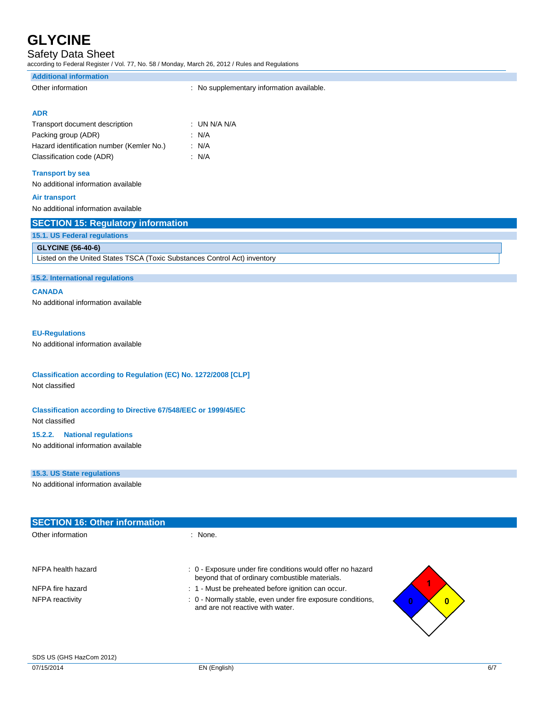## Safety Data Sheet

according to Federal Register / Vol. 77, No. 58 / Monday, March 26, 2012 / Rules and Regulations

| <b>Additional information</b>                                             |                                           |
|---------------------------------------------------------------------------|-------------------------------------------|
| Other information                                                         | : No supplementary information available. |
| <b>ADR</b>                                                                |                                           |
| Transport document description                                            | : UN N/A N/A                              |
| Packing group (ADR)                                                       | : $N/A$                                   |
| Hazard identification number (Kemler No.)                                 | : $N/A$                                   |
| Classification code (ADR)                                                 | : N/A                                     |
| <b>Transport by sea</b>                                                   |                                           |
| No additional information available                                       |                                           |
| <b>Air transport</b>                                                      |                                           |
| No additional information available                                       |                                           |
| <b>SECTION 15: Regulatory information</b>                                 |                                           |
| 15.1. US Federal regulations                                              |                                           |
| <b>GLYCINE (56-40-6)</b>                                                  |                                           |
| Listed on the United States TSCA (Toxic Substances Control Act) inventory |                                           |
| 15.2. International regulations                                           |                                           |
|                                                                           |                                           |
| -------                                                                   |                                           |

**CANADA**

No additional information available

#### **EU-Regulations**

No additional information available

#### **Classification according to Regulation (EC) No. 1272/2008 [CLP]** Not classified

## **Classification according to Directive 67/548/EEC or 1999/45/EC**

Not classified

#### **15.2.2. National regulations**

No additional information available

#### **15.3. US State regulations**

No additional information available

| <b>SECTION 16: Other information</b> |                                                                                                              |          |
|--------------------------------------|--------------------------------------------------------------------------------------------------------------|----------|
| Other information                    | : None.                                                                                                      |          |
|                                      |                                                                                                              |          |
| NFPA health hazard                   | : 0 - Exposure under fire conditions would offer no hazard<br>beyond that of ordinary combustible materials. |          |
| NFPA fire hazard                     | : 1 - Must be preheated before ignition can occur.                                                           |          |
| NFPA reactivity                      | : 0 - Normally stable, even under fire exposure conditions,<br>and are not reactive with water.              | $\bf{0}$ |